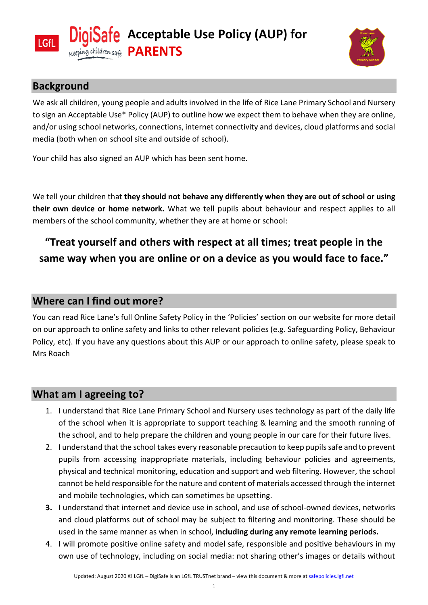



### **Background**

We ask all children, young people and adults involved in the life of Rice Lane Primary School and Nursery to sign an Acceptable Use\* Policy (AUP) to outline how we expect them to behave when they are online, and/or using school networks, connections, internet connectivity and devices, cloud platforms and social media (both when on school site and outside of school).

Your child has also signed an AUP which has been sent home.

We tell your children that **they should not behave any differently when they are out of school or using their own device or home network.** What we tell pupils about behaviour and respect applies to all members of the school community, whether they are at home or school:

# **"Treat yourself and others with respect at all times; treat people in the same way when you are online or on a device as you would face to face."**

### **Where can I find out more?**

You can read Rice Lane's full Online Safety Policy in the 'Policies' section on our website for more detail on our approach to online safety and links to other relevant policies (e.g. Safeguarding Policy, Behaviour Policy, etc). If you have any questions about this AUP or our approach to online safety, please speak to Mrs Roach

## **What am I agreeing to?**

- 1. I understand that Rice Lane Primary School and Nursery uses technology as part of the daily life of the school when it is appropriate to support teaching & learning and the smooth running of the school, and to help prepare the children and young people in our care for their future lives.
- 2. I understand that the school takes every reasonable precaution to keep pupils safe and to prevent pupils from accessing inappropriate materials, including behaviour policies and agreements, physical and technical monitoring, education and support and web filtering. However, the school cannot be held responsible for the nature and content of materials accessed through the internet and mobile technologies, which can sometimes be upsetting.
- **3.** I understand that internet and device use in school, and use of school-owned devices, networks and cloud platforms out of school may be subject to filtering and monitoring. These should be used in the same manner as when in school, **including during any remote learning periods.**
- 4. I will promote positive online safety and model safe, responsible and positive behaviours in my own use of technology, including on social media: not sharing other's images or details without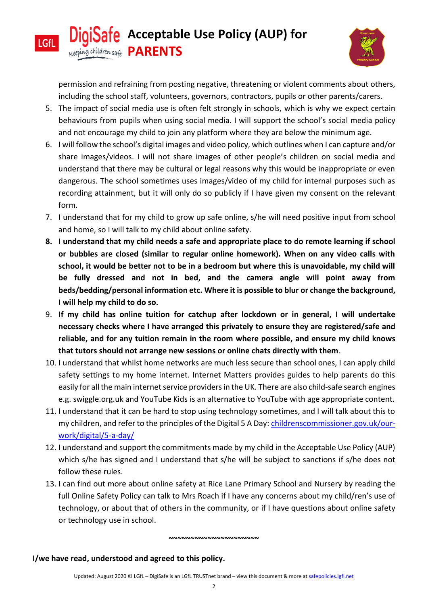

**LGfL** 



permission and refraining from posting negative, threatening or violent comments about others, including the school staff, volunteers, governors, contractors, pupils or other parents/carers.

- 5. The impact of social media use is often felt strongly in schools, which is why we expect certain behaviours from pupils when using social media. I will support the school's social media policy and not encourage my child to join any platform where they are below the minimum age.
- 6. I will follow the school's digital images and video policy, which outlines when I can capture and/or share images/videos. I will not share images of other people's children on social media and understand that there may be cultural or legal reasons why this would be inappropriate or even dangerous. The school sometimes uses images/video of my child for internal purposes such as recording attainment, but it will only do so publicly if I have given my consent on the relevant form.
- 7. I understand that for my child to grow up safe online, s/he will need positive input from school and home, so I will talk to my child about online safety.
- **8. I understand that my child needs a safe and appropriate place to do remote learning if school or bubbles are closed (similar to regular online homework). When on any video calls with school, it would be better not to be in a bedroom but where this is unavoidable, my child will be fully dressed and not in bed, and the camera angle will point away from beds/bedding/personal information etc. Where it is possible to blur or change the background, I will help my child to do so.**
- 9. **If my child has online tuition for catchup after lockdown or in general, I will undertake necessary checks where I have arranged this privately to ensure they are registered/safe and reliable, and for any tuition remain in the room where possible, and ensure my child knows that tutors should not arrange new sessions or online chats directly with them**.
- 10. I understand that whilst home networks are much less secure than school ones, I can apply child safety settings to my home internet. Internet Matters provides guides to help parents do this easily for all the main internet service providers in the UK. There are also child-safe search engines e.g. swiggle.org.uk and YouTube Kids is an alternative to YouTube with age appropriate content.
- 11. I understand that it can be hard to stop using technology sometimes, and I will talk about this to my children, and refer to the principles of the Digital 5 A Day: [childrenscommissioner.gov.uk/our](https://www.childrenscommissioner.gov.uk/our-work/digital/5-a-day/)[work/digital/5-a-day/](https://www.childrenscommissioner.gov.uk/our-work/digital/5-a-day/)
- 12. I understand and support the commitments made by my child in the Acceptable Use Policy (AUP) which s/he has signed and I understand that s/he will be subject to sanctions if s/he does not follow these rules.
- 13. I can find out more about online safety at Rice Lane Primary School and Nursery by reading the full Online Safety Policy can talk to Mrs Roach if I have any concerns about my child/ren's use of technology, or about that of others in the community, or if I have questions about online safety or technology use in school.

#### **I/we have read, understood and agreed to this policy.**

**~~~~~~~~~~~~~~~~~~~~~**